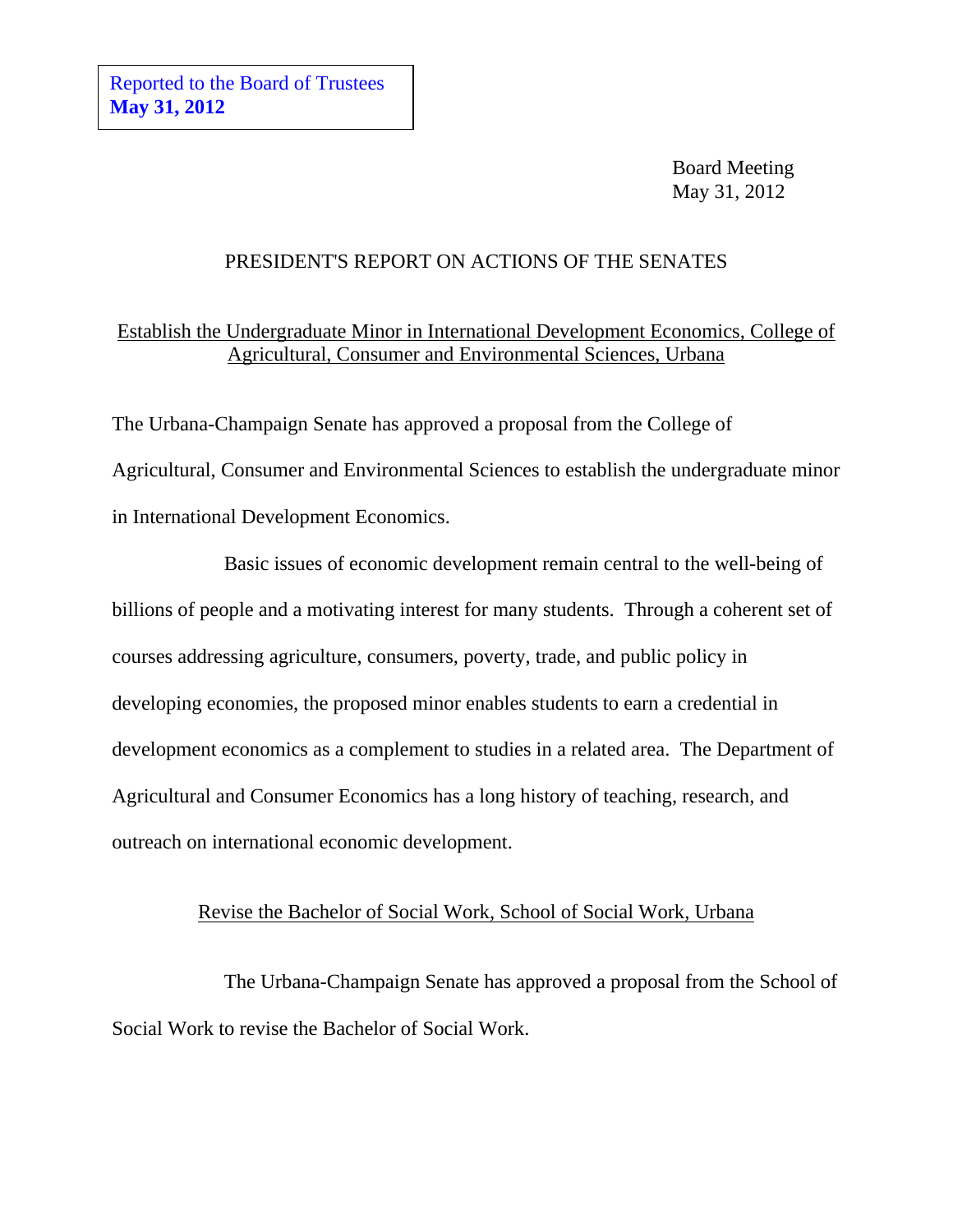Board Meeting May 31, 2012

### PRESIDENT'S REPORT ON ACTIONS OF THE SENATES

# Establish the Undergraduate Minor in International Development Economics, College of Agricultural, Consumer and Environmental Sciences, Urbana

The Urbana-Champaign Senate has approved a proposal from the College of Agricultural, Consumer and Environmental Sciences to establish the undergraduate minor in International Development Economics.

Basic issues of economic development remain central to the well-being of billions of people and a motivating interest for many students. Through a coherent set of courses addressing agriculture, consumers, poverty, trade, and public policy in developing economies, the proposed minor enables students to earn a credential in development economics as a complement to studies in a related area. The Department of Agricultural and Consumer Economics has a long history of teaching, research, and outreach on international economic development.

#### Revise the Bachelor of Social Work, School of Social Work, Urbana

The Urbana-Champaign Senate has approved a proposal from the School of Social Work to revise the Bachelor of Social Work.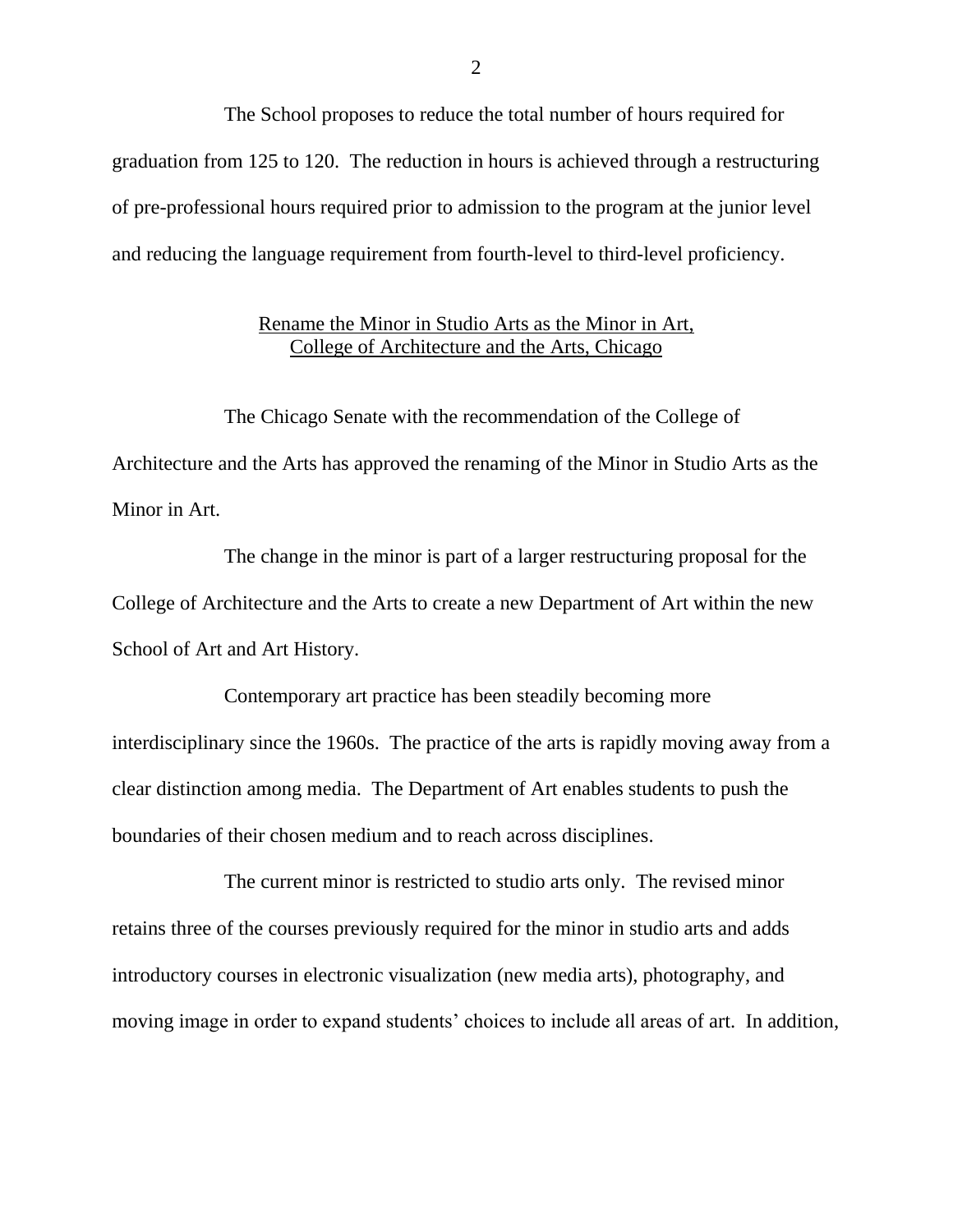The School proposes to reduce the total number of hours required for graduation from 125 to 120. The reduction in hours is achieved through a restructuring of pre-professional hours required prior to admission to the program at the junior level and reducing the language requirement from fourth-level to third-level proficiency.

#### Rename the Minor in Studio Arts as the Minor in Art, College of Architecture and the Arts, Chicago

The Chicago Senate with the recommendation of the College of Architecture and the Arts has approved the renaming of the Minor in Studio Arts as the Minor in Art.

The change in the minor is part of a larger restructuring proposal for the College of Architecture and the Arts to create a new Department of Art within the new School of Art and Art History.

Contemporary art practice has been steadily becoming more interdisciplinary since the 1960s. The practice of the arts is rapidly moving away from a clear distinction among media. The Department of Art enables students to push the boundaries of their chosen medium and to reach across disciplines.

The current minor is restricted to studio arts only. The revised minor retains three of the courses previously required for the minor in studio arts and adds introductory courses in electronic visualization (new media arts), photography, and moving image in order to expand students' choices to include all areas of art. In addition,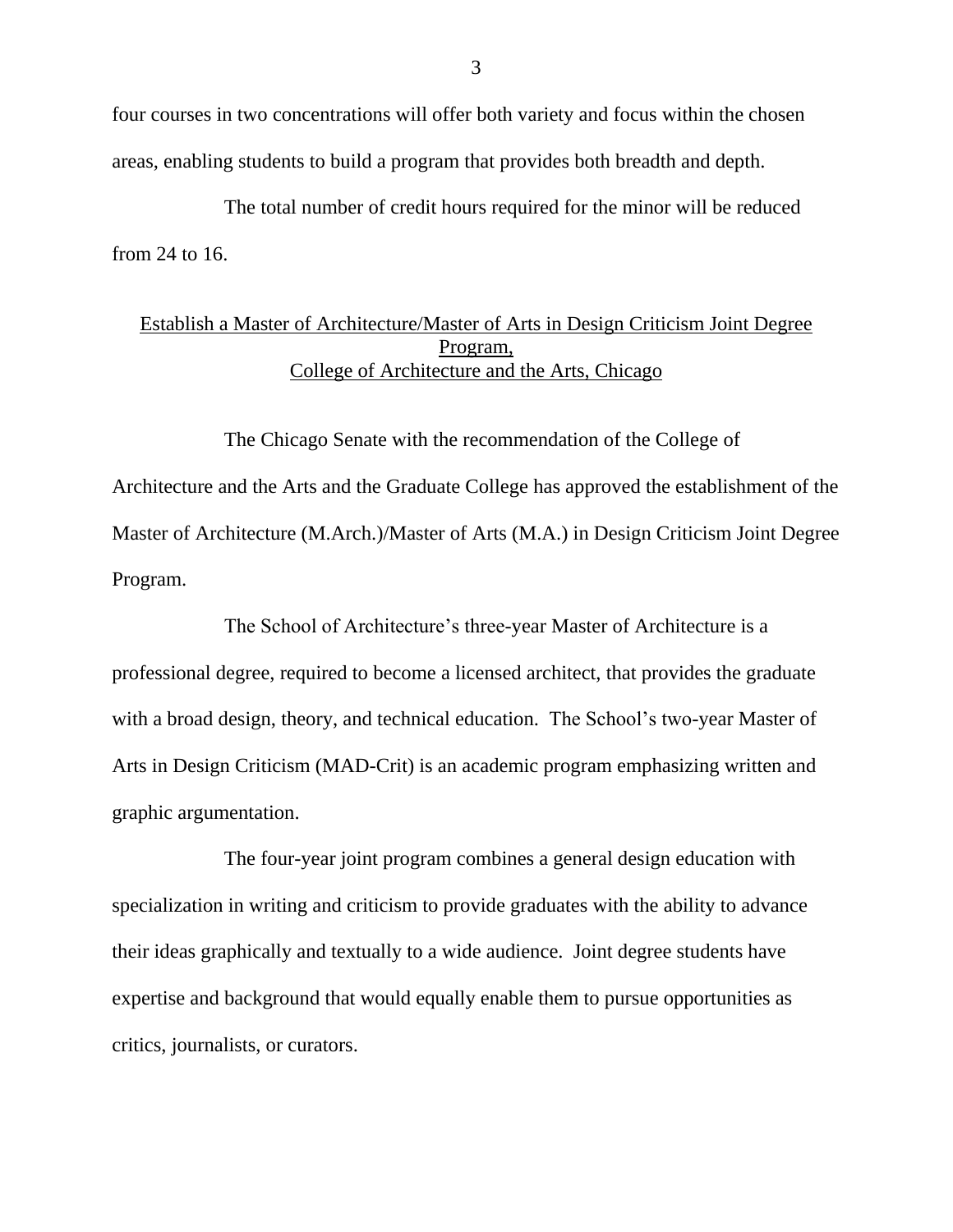four courses in two concentrations will offer both variety and focus within the chosen areas, enabling students to build a program that provides both breadth and depth.

The total number of credit hours required for the minor will be reduced from 24 to 16.

### Establish a Master of Architecture/Master of Arts in Design Criticism Joint Degree Program, College of Architecture and the Arts, Chicago

The Chicago Senate with the recommendation of the College of Architecture and the Arts and the Graduate College has approved the establishment of the Master of Architecture (M.Arch.)/Master of Arts (M.A.) in Design Criticism Joint Degree Program.

The School of Architecture's three-year Master of Architecture is a professional degree, required to become a licensed architect, that provides the graduate with a broad design, theory, and technical education. The School's two-year Master of Arts in Design Criticism (MAD-Crit) is an academic program emphasizing written and graphic argumentation.

The four-year joint program combines a general design education with specialization in writing and criticism to provide graduates with the ability to advance their ideas graphically and textually to a wide audience. Joint degree students have expertise and background that would equally enable them to pursue opportunities as critics, journalists, or curators.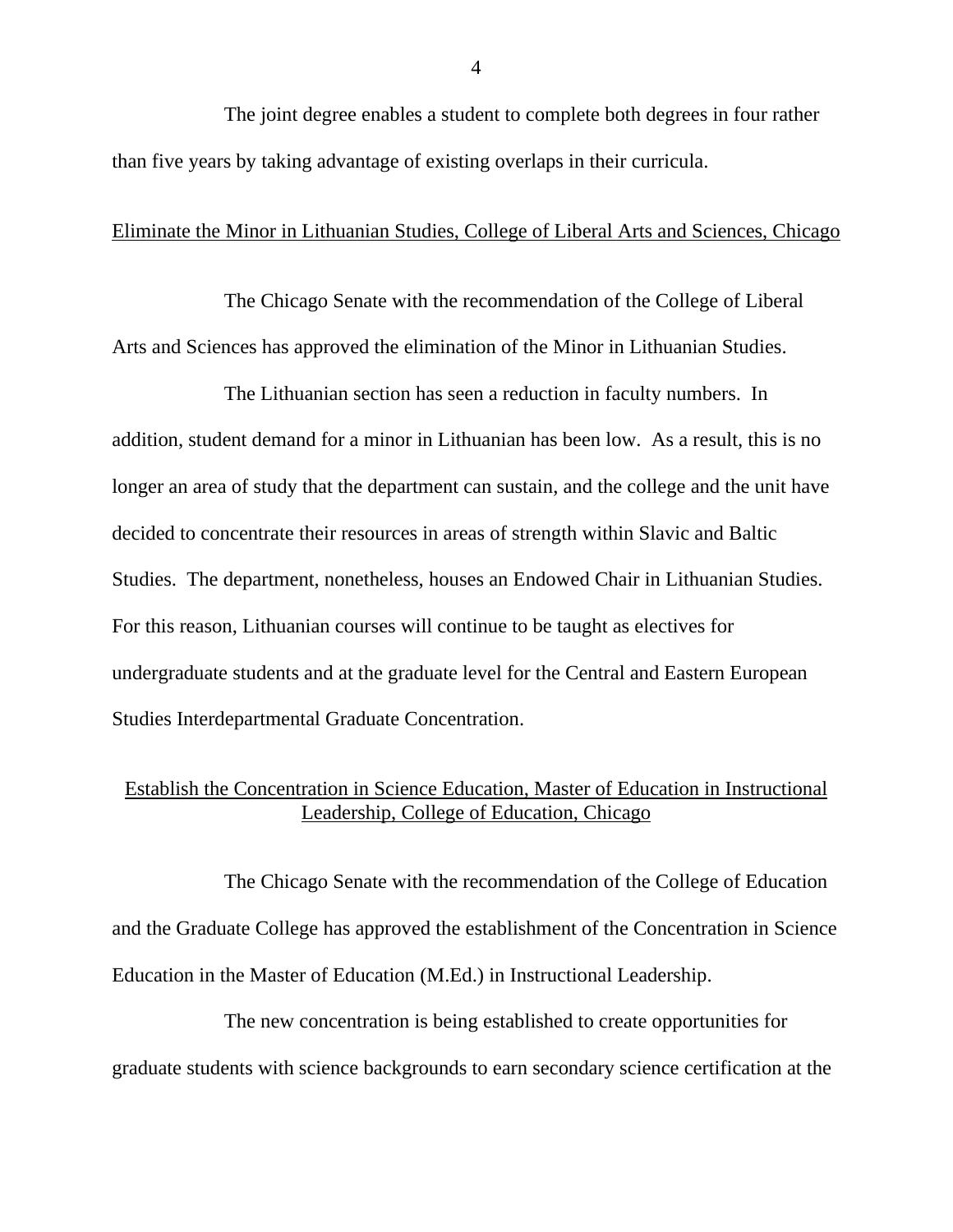The joint degree enables a student to complete both degrees in four rather than five years by taking advantage of existing overlaps in their curricula.

#### Eliminate the Minor in Lithuanian Studies, College of Liberal Arts and Sciences, Chicago

The Chicago Senate with the recommendation of the College of Liberal Arts and Sciences has approved the elimination of the Minor in Lithuanian Studies.

The Lithuanian section has seen a reduction in faculty numbers. In addition, student demand for a minor in Lithuanian has been low. As a result, this is no longer an area of study that the department can sustain, and the college and the unit have decided to concentrate their resources in areas of strength within Slavic and Baltic Studies. The department, nonetheless, houses an Endowed Chair in Lithuanian Studies. For this reason, Lithuanian courses will continue to be taught as electives for undergraduate students and at the graduate level for the Central and Eastern European Studies Interdepartmental Graduate Concentration.

### Establish the Concentration in Science Education, Master of Education in Instructional Leadership, College of Education, Chicago

The Chicago Senate with the recommendation of the College of Education and the Graduate College has approved the establishment of the Concentration in Science Education in the Master of Education (M.Ed.) in Instructional Leadership.

The new concentration is being established to create opportunities for graduate students with science backgrounds to earn secondary science certification at the

4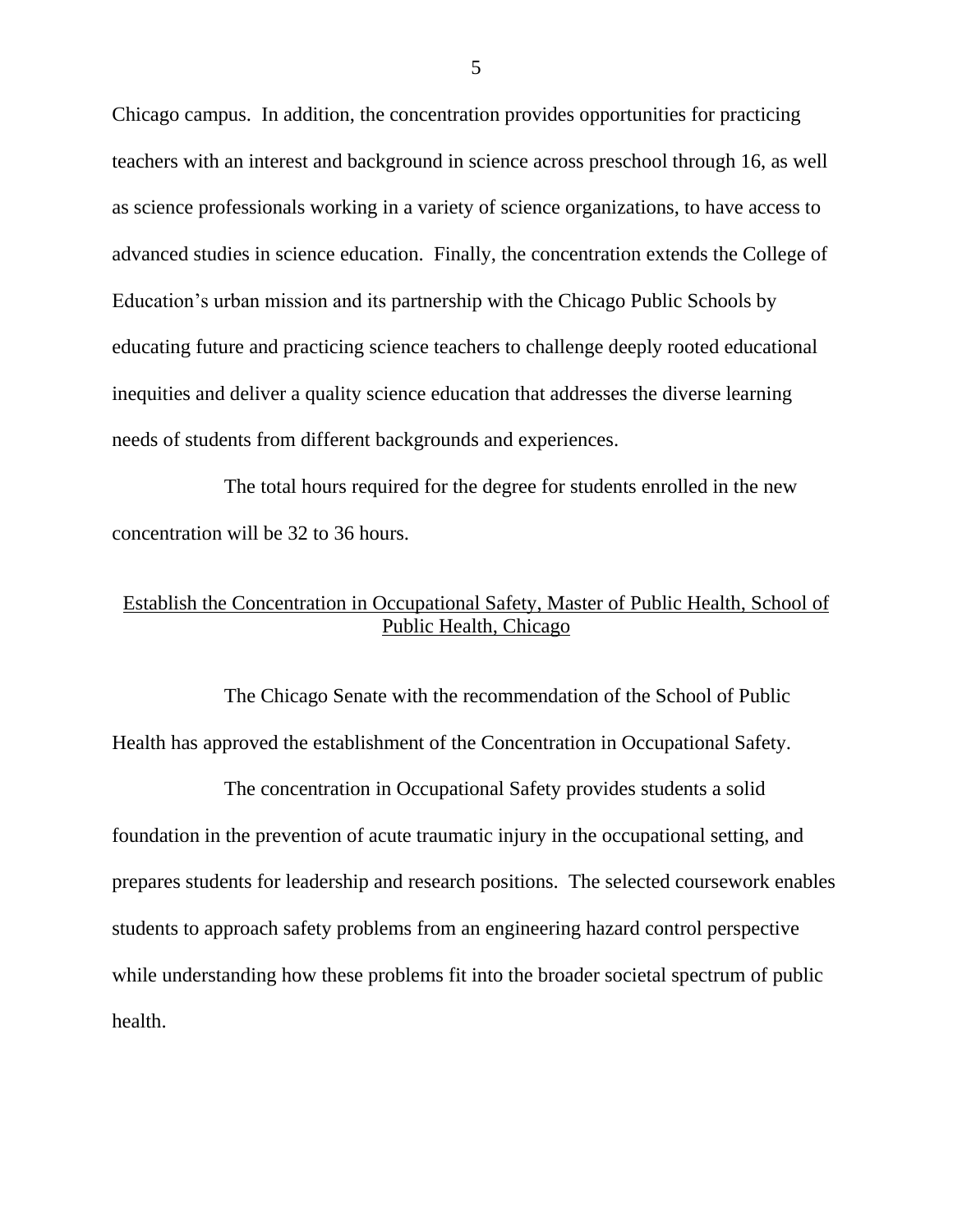Chicago campus. In addition, the concentration provides opportunities for practicing teachers with an interest and background in science across preschool through 16, as well as science professionals working in a variety of science organizations, to have access to advanced studies in science education. Finally, the concentration extends the College of Education's urban mission and its partnership with the Chicago Public Schools by educating future and practicing science teachers to challenge deeply rooted educational inequities and deliver a quality science education that addresses the diverse learning needs of students from different backgrounds and experiences.

The total hours required for the degree for students enrolled in the new concentration will be 32 to 36 hours.

# Establish the Concentration in Occupational Safety, Master of Public Health, School of Public Health, Chicago

The Chicago Senate with the recommendation of the School of Public Health has approved the establishment of the Concentration in Occupational Safety.

The concentration in Occupational Safety provides students a solid foundation in the prevention of acute traumatic injury in the occupational setting, and prepares students for leadership and research positions. The selected coursework enables students to approach safety problems from an engineering hazard control perspective while understanding how these problems fit into the broader societal spectrum of public health.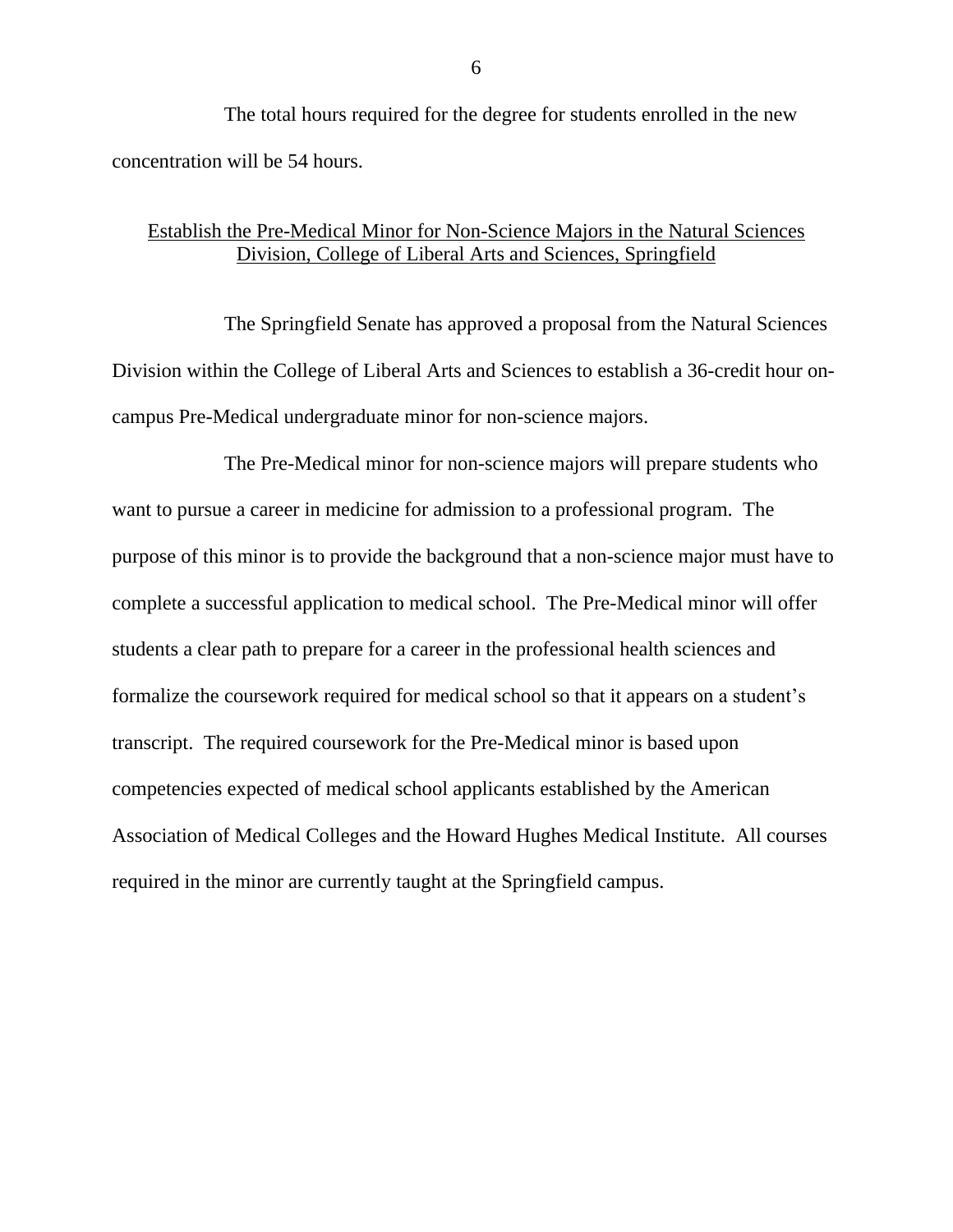The total hours required for the degree for students enrolled in the new concentration will be 54 hours.

#### Establish the Pre-Medical Minor for Non-Science Majors in the Natural Sciences Division, College of Liberal Arts and Sciences, Springfield

The Springfield Senate has approved a proposal from the Natural Sciences Division within the College of Liberal Arts and Sciences to establish a 36-credit hour oncampus Pre-Medical undergraduate minor for non-science majors.

The Pre-Medical minor for non-science majors will prepare students who want to pursue a career in medicine for admission to a professional program. The purpose of this minor is to provide the background that a non-science major must have to complete a successful application to medical school. The Pre-Medical minor will offer students a clear path to prepare for a career in the professional health sciences and formalize the coursework required for medical school so that it appears on a student's transcript. The required coursework for the Pre-Medical minor is based upon competencies expected of medical school applicants established by the American Association of Medical Colleges and the Howard Hughes Medical Institute. All courses required in the minor are currently taught at the Springfield campus.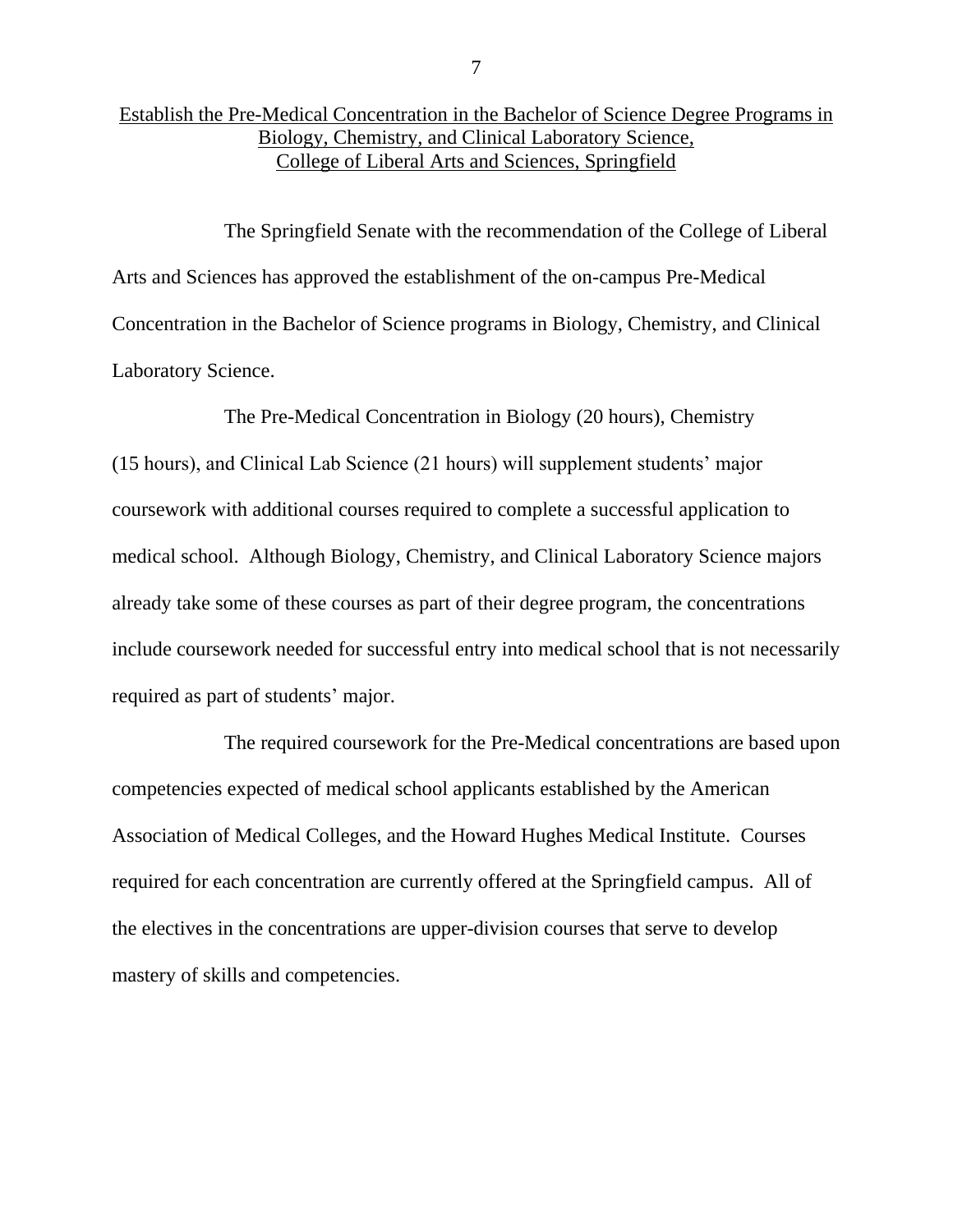# Establish the Pre-Medical Concentration in the Bachelor of Science Degree Programs in Biology, Chemistry, and Clinical Laboratory Science, College of Liberal Arts and Sciences, Springfield

The Springfield Senate with the recommendation of the College of Liberal Arts and Sciences has approved the establishment of the on-campus Pre-Medical Concentration in the Bachelor of Science programs in Biology, Chemistry, and Clinical Laboratory Science.

The Pre-Medical Concentration in Biology (20 hours), Chemistry (15 hours), and Clinical Lab Science (21 hours) will supplement students' major coursework with additional courses required to complete a successful application to medical school. Although Biology, Chemistry, and Clinical Laboratory Science majors already take some of these courses as part of their degree program, the concentrations include coursework needed for successful entry into medical school that is not necessarily required as part of students' major.

The required coursework for the Pre-Medical concentrations are based upon competencies expected of medical school applicants established by the American Association of Medical Colleges, and the Howard Hughes Medical Institute. Courses required for each concentration are currently offered at the Springfield campus. All of the electives in the concentrations are upper-division courses that serve to develop mastery of skills and competencies.